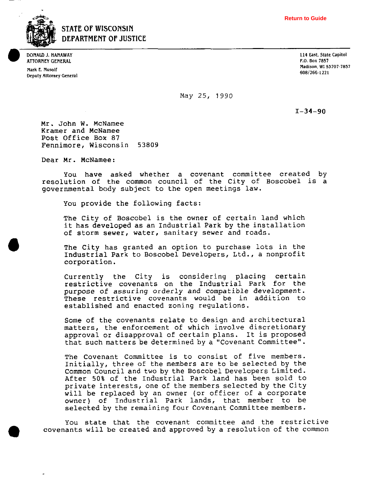

## **STATE OF WISCONSIN DEPARTMENT OF JUSTICE**

**Deputy Attorney General** <br> **Deputy Attorney General 608/266-1221 <b>608/266-1221** 

**DONALD J. HANAWAY 114 East. State Capitol 114 East. State Capitol 114 East. State Capitol 114 East. State Capitol 114 East. State Capitol 114 East. State Capitol 114 East. State Capitol 114 East. State Capitol 115 April 1 ATTORNEY GENERAL P.O. Box 7857 P.O. Box 7857 P.O. Box 7857 P.O. Box 7857 P.O. Box 7857 P.O. Box 7857 P.O. Box 7857 Madison. WI 53707~7857 Mark E. Musoif** 

**May** 25, 1990

 $I - 34 - 90$ 

Mr. John W. McNamee Kramer and McNamee Post Office Box 87 Fennimore, Wisconsin 53809

Dear Mr. McNamee:

You have asked whether a covenant committee created by resolution of the common council of the City of Boscobel is a governmental body subject to the open meetings law.

You provide the following facts:

The City of Boscobel is the owner of certain land which it has developed as an Industrial Park by the installation of storm sewer, water, sanitary sewer and roads.

The City has granted an option to purchase lots in the Industrial Park to Boscobel Developers, Ltd., a nonprofit corporation.

Currently the City is considering placing certain restrictive covenants on the Industrial Park for the purpose of assuring orderly and compatible development. These restrictive covenants would be in addition to established and enacted zoning regulations.

Some of the covenants relate to design and architectural matters, the enforcement of which involve discretionary approval or disapproval of certain plans. It is proposed that such matters be determined by a "Covenant Committee".

The Covenant Committee is to consist of five members. Initially, three of the members are to be selected by the Common Council and two by the Boscobel Developers Limited. After 50% of the Industrial Park land has been sold to private interests, one of the members selected by the City will be replaced by an owner (or officer of a corporate owner) of Industrial Park lands, that member to be selected by the remaining four Covenant Committee members.

You state that the covenant committee and the restrictive covenants will be created and approved by a resolution of the common